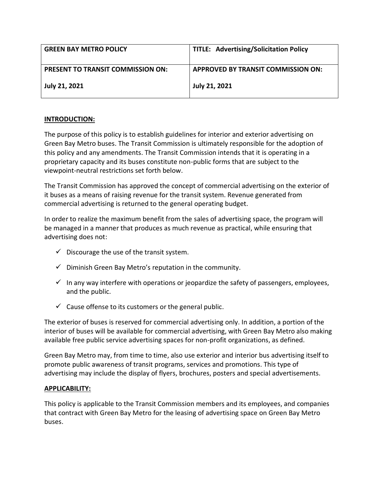| <b>GREEN BAY METRO POLICY</b>            | <b>TITLE: Advertising/Solicitation Policy</b> |
|------------------------------------------|-----------------------------------------------|
| <b>PRESENT TO TRANSIT COMMISSION ON:</b> | APPROVED BY TRANSIT COMMISSION ON:            |
| July 21, 2021                            | <b>July 21, 2021</b>                          |

## **INTRODUCTION:**

The purpose of this policy is to establish guidelines for interior and exterior advertising on Green Bay Metro buses. The Transit Commission is ultimately responsible for the adoption of this policy and any amendments. The Transit Commission intends that it is operating in a proprietary capacity and its buses constitute non-public forms that are subject to the viewpoint-neutral restrictions set forth below.

The Transit Commission has approved the concept of commercial advertising on the exterior of it buses as a means of raising revenue for the transit system. Revenue generated from commercial advertising is returned to the general operating budget.

In order to realize the maximum benefit from the sales of advertising space, the program will be managed in a manner that produces as much revenue as practical, while ensuring that advertising does not:

- $\checkmark$  Discourage the use of the transit system.
- $\checkmark$  Diminish Green Bay Metro's reputation in the community.
- $\checkmark$  In any way interfere with operations or jeopardize the safety of passengers, employees, and the public.
- $\checkmark$  Cause offense to its customers or the general public.

The exterior of buses is reserved for commercial advertising only. In addition, a portion of the interior of buses will be available for commercial advertising, with Green Bay Metro also making available free public service advertising spaces for non-profit organizations, as defined.

Green Bay Metro may, from time to time, also use exterior and interior bus advertising itself to promote public awareness of transit programs, services and promotions. This type of advertising may include the display of flyers, brochures, posters and special advertisements.

## **APPLICABILITY:**

This policy is applicable to the Transit Commission members and its employees, and companies that contract with Green Bay Metro for the leasing of advertising space on Green Bay Metro buses.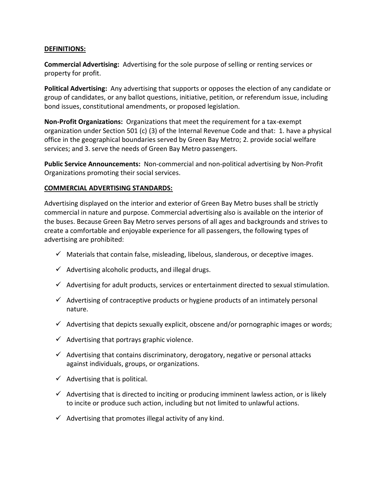#### **DEFINITIONS:**

**Commercial Advertising:** Advertising for the sole purpose of selling or renting services or property for profit.

**Political Advertising:** Any advertising that supports or opposes the election of any candidate or group of candidates, or any ballot questions, initiative, petition, or referendum issue, including bond issues, constitutional amendments, or proposed legislation.

**Non-Profit Organizations:** Organizations that meet the requirement for a tax-exempt organization under Section 501 (c) (3) of the Internal Revenue Code and that: 1. have a physical office in the geographical boundaries served by Green Bay Metro; 2. provide social welfare services; and 3. serve the needs of Green Bay Metro passengers.

**Public Service Announcements:** Non-commercial and non-political advertising by Non-Profit Organizations promoting their social services.

#### **COMMERCIAL ADVERTISING STANDARDS:**

Advertising displayed on the interior and exterior of Green Bay Metro buses shall be strictly commercial in nature and purpose. Commercial advertising also is available on the interior of the buses. Because Green Bay Metro serves persons of all ages and backgrounds and strives to create a comfortable and enjoyable experience for all passengers, the following types of advertising are prohibited:

- $\checkmark$  Materials that contain false, misleading, libelous, slanderous, or deceptive images.
- $\checkmark$  Advertising alcoholic products, and illegal drugs.
- $\checkmark$  Advertising for adult products, services or entertainment directed to sexual stimulation.
- $\checkmark$  Advertising of contraceptive products or hygiene products of an intimately personal nature.
- $\checkmark$  Advertising that depicts sexually explicit, obscene and/or pornographic images or words;
- $\checkmark$  Advertising that portrays graphic violence.
- $\checkmark$  Advertising that contains discriminatory, derogatory, negative or personal attacks against individuals, groups, or organizations.
- $\checkmark$  Advertising that is political.
- $\checkmark$  Advertising that is directed to inciting or producing imminent lawless action, or is likely to incite or produce such action, including but not limited to unlawful actions.
- $\checkmark$  Advertising that promotes illegal activity of any kind.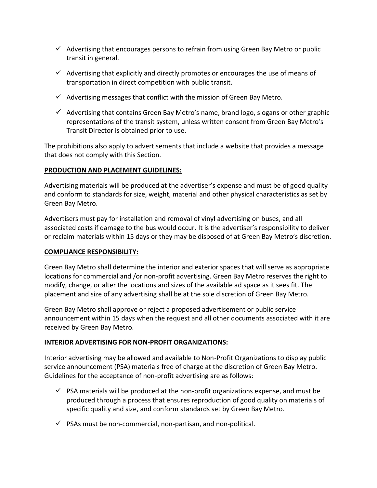- $\checkmark$  Advertising that encourages persons to refrain from using Green Bay Metro or public transit in general.
- $\checkmark$  Advertising that explicitly and directly promotes or encourages the use of means of transportation in direct competition with public transit.
- $\checkmark$  Advertising messages that conflict with the mission of Green Bay Metro.
- $\checkmark$  Advertising that contains Green Bay Metro's name, brand logo, slogans or other graphic representations of the transit system, unless written consent from Green Bay Metro's Transit Director is obtained prior to use.

The prohibitions also apply to advertisements that include a website that provides a message that does not comply with this Section.

## **PRODUCTION AND PLACEMENT GUIDELINES:**

Advertising materials will be produced at the advertiser's expense and must be of good quality and conform to standards for size, weight, material and other physical characteristics as set by Green Bay Metro.

Advertisers must pay for installation and removal of vinyl advertising on buses, and all associated costs if damage to the bus would occur. It is the advertiser's responsibility to deliver or reclaim materials within 15 days or they may be disposed of at Green Bay Metro's discretion.

## **COMPLIANCE RESPONSIBILITY:**

Green Bay Metro shall determine the interior and exterior spaces that will serve as appropriate locations for commercial and /or non-profit advertising. Green Bay Metro reserves the right to modify, change, or alter the locations and sizes of the available ad space as it sees fit. The placement and size of any advertising shall be at the sole discretion of Green Bay Metro.

Green Bay Metro shall approve or reject a proposed advertisement or public service announcement within 15 days when the request and all other documents associated with it are received by Green Bay Metro.

# **INTERIOR ADVERTISING FOR NON-PROFIT ORGANIZATIONS:**

Interior advertising may be allowed and available to Non-Profit Organizations to display public service announcement (PSA) materials free of charge at the discretion of Green Bay Metro. Guidelines for the acceptance of non-profit advertising are as follows:

- $\checkmark$  PSA materials will be produced at the non-profit organizations expense, and must be produced through a process that ensures reproduction of good quality on materials of specific quality and size, and conform standards set by Green Bay Metro.
- $\checkmark$  PSAs must be non-commercial, non-partisan, and non-political.